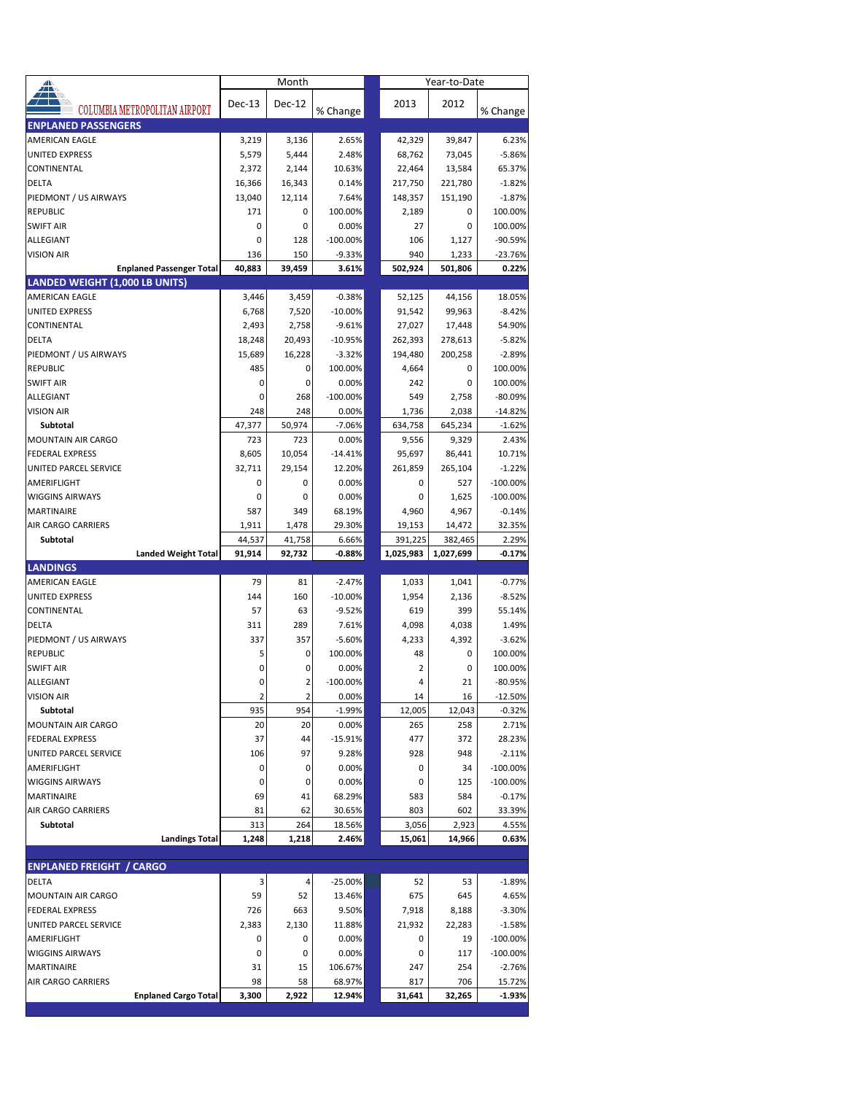| <mark>∡</mark>                                    |               | Month          |                  |               | Year-to-Date  |                    |
|---------------------------------------------------|---------------|----------------|------------------|---------------|---------------|--------------------|
| COLUMBIA METROPOLITAN AIRPORT                     | <b>Dec-13</b> | Dec-12         | % Change         | 2013          | 2012          | % Change           |
| <b>ENPLANED PASSENGERS</b>                        |               |                |                  |               |               |                    |
| AMERICAN EAGLE                                    | 3,219         | 3,136          | 2.65%            | 42,329        | 39,847        | 6.23%              |
| <b>UNITED EXPRESS</b>                             | 5,579         | 5,444          | 2.48%            | 68,762        | 73,045        | $-5.86%$           |
| CONTINENTAL                                       | 2,372         | 2,144          | 10.63%           | 22,464        | 13,584        | 65.37%             |
| <b>DELTA</b>                                      | 16,366        | 16,343         | 0.14%            | 217,750       | 221,780       | $-1.82%$           |
| PIEDMONT / US AIRWAYS                             | 13,040        | 12,114         | 7.64%            | 148,357       | 151,190       | $-1.87%$           |
| <b>REPUBLIC</b>                                   | 171           | 0              | 100.00%          | 2,189         | $\mathbf 0$   | 100.00%            |
| <b>SWIFT AIR</b>                                  | 0             | 0              | 0.00%            | 27            | 0             | 100.00%            |
| ALLEGIANT                                         | 0             | 128            | $-100.00%$       | 106           | 1,127         | $-90.59%$          |
| <b>VISION AIR</b>                                 | 136           | 150            | $-9.33%$         | 940           | 1,233         | $-23.76%$          |
| <b>Enplaned Passenger Total</b>                   | 40,883        | 39,459         | 3.61%            | 502,924       | 501,806       | 0.22%              |
| <b>LANDED WEIGHT (1,000 LB UNITS)</b>             |               |                |                  |               |               |                    |
| <b>AMERICAN EAGLE</b>                             | 3,446         | 3,459          | $-0.38%$         | 52,125        | 44,156        | 18.05%             |
| <b>UNITED EXPRESS</b>                             | 6,768         | 7,520          | $-10.00%$        | 91,542        | 99,963        | $-8.42%$           |
| CONTINENTAL                                       | 2,493         | 2,758          | $-9.61%$         | 27,027        | 17,448        | 54.90%             |
| <b>DELTA</b>                                      | 18,248        | 20,493         | $-10.95%$        | 262,393       | 278,613       | $-5.82%$           |
| PIEDMONT / US AIRWAYS                             | 15,689        | 16,228         | $-3.32%$         | 194,480       | 200,258       | $-2.89%$           |
| <b>REPUBLIC</b>                                   | 485           | 0              | 100.00%          | 4,664         | 0             | 100.00%            |
| <b>SWIFT AIR</b>                                  | 0             | 0              | 0.00%            | 242           | 0             | 100.00%            |
| ALLEGIANT                                         | 0             | 268            | $-100.00%$       | 549           | 2,758         | $-80.09%$          |
| <b>VISION AIR</b>                                 | 248           | 248            | 0.00%            | 1,736         | 2,038         | $-14.82%$          |
| Subtotal                                          | 47,377        | 50,974         | $-7.06%$         | 634,758       | 645.234       | $-1.62%$           |
| <b>MOUNTAIN AIR CARGO</b>                         | 723           | 723            | 0.00%            | 9,556         | 9,329         | 2.43%              |
| <b>FEDERAL EXPRESS</b>                            | 8,605         | 10,054         | $-14.41%$        | 95,697        | 86,441        | 10.71%             |
| UNITED PARCEL SERVICE                             | 32,711        | 29,154         | 12.20%           | 261,859       | 265,104       | $-1.22%$           |
| AMERIFLIGHT                                       | 0             | 0              | 0.00%            | 0             | 527           | $-100.00%$         |
| <b>WIGGINS AIRWAYS</b>                            | 0             | 0              | 0.00%            | 0             | 1,625         | $-100.00%$         |
| <b>MARTINAIRE</b>                                 | 587           | 349            | 68.19%           | 4,960         | 4,967         | $-0.14%$           |
| <b>AIR CARGO CARRIERS</b>                         | 1,911         | 1,478          | 29.30%           | 19,153        | 14,472        | 32.35%             |
| Subtotal                                          | 44,537        | 41,758         | 6.66%            | 391,225       | 382,465       | 2.29%              |
|                                                   |               |                | $-0.88%$         | 1,025,983     |               | $-0.17%$           |
| <b>Landed Weight Total</b>                        | 91,914        | 92,732         |                  |               | 1,027,699     |                    |
| <b>LANDINGS</b>                                   |               |                |                  |               |               |                    |
| <b>AMERICAN EAGLE</b>                             | 79            | 81             | $-2.47%$         | 1,033         | 1,041         | $-0.77%$           |
| <b>UNITED EXPRESS</b>                             | 144           | 160            | $-10.00%$        | 1,954         | 2,136         | $-8.52%$           |
| CONTINENTAL                                       | 57            | 63             | $-9.52%$         | 619           | 399           | 55.14%             |
| <b>DELTA</b>                                      | 311           | 289            | 7.61%            | 4,098         | 4,038         | 1.49%              |
| PIEDMONT / US AIRWAYS                             | 337           | 357            | $-5.60%$         | 4,233         | 4,392         | $-3.62%$           |
| <b>REPUBLIC</b>                                   | 5             | 0              | 100.00%          | 48            | 0             | 100.00%            |
| <b>SWIFT AIR</b>                                  | 0             | 0              | 0.00%            | 2             | 0             | 100.00%            |
| <b>ALLEGIANT</b>                                  | 0             | $\overline{2}$ | $-100.00%$       | 4             | 21            | $-80.95%$          |
| VISION AIR                                        | 2             | 2              | 0.00%            | 14            | 16            | -12.50%            |
| Subtotal                                          | 935           | 954            | $-1.99%$         | 12,005        | 12,043        | $-0.32%$           |
| <b>MOUNTAIN AIR CARGO</b>                         | 20            | 20             | 0.00%            | 265           | 258           | 2.71%              |
| <b>FEDERAL EXPRESS</b>                            | 37            | 44             | $-15.91%$        | 477           | 372           | 28.23%             |
| UNITED PARCEL SERVICE                             | 106           | 97             | 9.28%            | 928           | 948           | $-2.11%$           |
| AMERIFLIGHT                                       | 0             | 0              | 0.00%            | 0             | 34            | $-100.00\%$        |
| <b>WIGGINS AIRWAYS</b>                            | 0             | 0              | 0.00%            | 0             | 125           | $-100.00\%$        |
| MARTINAIRE                                        | 69            | 41             | 68.29%           | 583           | 584           | $-0.17%$           |
| AIR CARGO CARRIERS                                | 81            | 62             | 30.65%           | 803           | 602           | 33.39%             |
| Subtotal                                          | 313           | 264            | 18.56%           | 3,056         | 2,923         | 4.55%              |
| <b>Landings Total</b>                             | 1,248         | 1,218          | 2.46%            | 15,061        | 14,966        | 0.63%              |
|                                                   |               |                |                  |               |               |                    |
| <b>ENPLANED FREIGHT / CARGO</b>                   |               |                |                  |               |               |                    |
| DELTA                                             | 3             | 4              | $-25.00%$        | 52            | 53            | $-1.89%$           |
| MOUNTAIN AIR CARGO                                | 59            | 52             | 13.46%           | 675           | 645           | 4.65%              |
| <b>FEDERAL EXPRESS</b>                            | 726           | 663            | 9.50%            | 7,918         | 8,188         | $-3.30%$           |
| UNITED PARCEL SERVICE                             | 2,383         | 2,130          | 11.88%           | 21,932        | 22,283        | $-1.58%$           |
| AMERIFLIGHT                                       | 0             | 0              | 0.00%            | 0             | 19            | $-100.00%$         |
| <b>WIGGINS AIRWAYS</b>                            | 0             | 0              | 0.00%            | 0             | 117           | $-100.00\%$        |
| MARTINAIRE                                        | 31            | 15             | 106.67%          | 247           | 254           | $-2.76%$           |
| AIR CARGO CARRIERS<br><b>Enplaned Cargo Total</b> | 98<br>3,300   | 58<br>2,922    | 68.97%<br>12.94% | 817<br>31,641 | 706<br>32,265 | 15.72%<br>$-1.93%$ |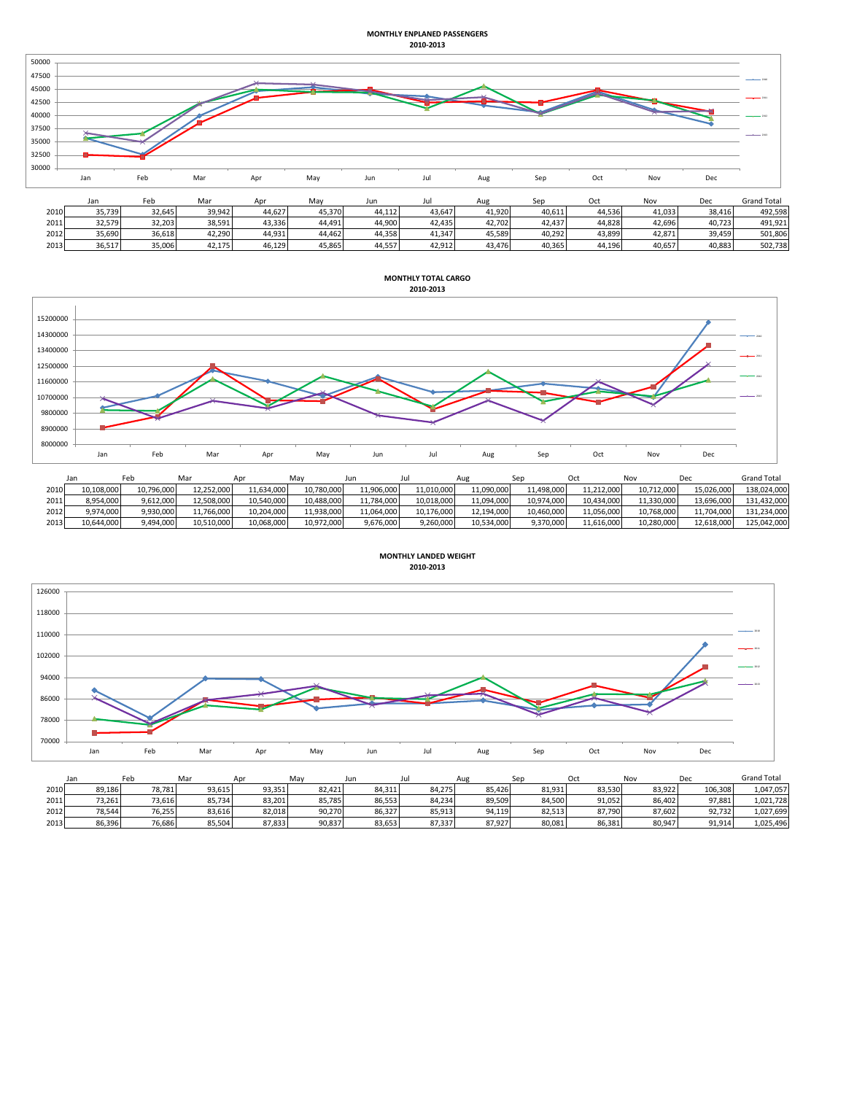## **MONTHLY ENPLANED PASSENGERS 2010-2013**



| 2010 | 35,739 | 32.645 | 39.942 | 44.627 | 45,370 | 44.112 | 13,647 | 11,920 | 40,611 | 44,536 | 41,033 | 38.416 | 492.598 |
|------|--------|--------|--------|--------|--------|--------|--------|--------|--------|--------|--------|--------|---------|
| 2011 | 32,579 | 32.203 | 38.591 | 43.336 | 44,491 | 14.900 | 42.435 | 42.702 | 42.437 | 14.828 | 42.696 | 40.723 | 491.921 |
| 2012 | 35,690 | 36,618 | 42.290 | 44.931 | 44,462 | 44.358 | 41,347 | 45,589 | 40.292 | 43,899 | 42.871 | 39.459 | 501,806 |
| 2013 | 36,517 | 35,006 | 42.175 | 46.129 | 15,865 | 14,557 | 42,912 | 43.476 | 40,365 | 44,196 | 40,657 | 40,883 | 502,738 |



|      | Jan        | Feb        | Mar        | Apr        | May        | un         | Ju         | Aug        |            |            | Nov        | Dec        | <b>Grand Total</b> |
|------|------------|------------|------------|------------|------------|------------|------------|------------|------------|------------|------------|------------|--------------------|
| 2010 | 10.108.000 | 10.796.000 | 12,252,000 | 11.634.000 | 10,780,000 | 11.906.000 | 11.010.000 | 11,090,000 | 11,498,000 | 11.212.000 | 10.712.000 | 15.026.000 | 138.024.000        |
| 2011 | 8.954.000  | 9.612.000  | 12.508.000 | 10.540.000 | 10.488.000 | 11.784.000 | 10.018.000 | 11.094.000 | 10.974.000 | 10.434.000 | 11.330.000 | 13.696.000 | 131.432.000        |
| 2012 | 9,974,000  | 9,930,000  | 11,766,000 | 10,204,000 | 11,938,000 | 11,064,000 | 10,176,000 | 12,194,000 | 10,460,000 | 11,056,000 | 10,768,000 | 11.704.000 | 131,234,000        |
| 2013 | 10,644,000 | 9,494,000  | 10,510,000 | 10,068,000 | 10.972.000 | 9,676,000  | 9,260,000  | 10,534,000 | 9.370.000  | 11,616,000 | 10,280,000 | 12,618,000 | 125,042,000        |



|      | Jan    | Feb    | Mar    | Apr    | May    | Jun    | Jul    | Aue    | Ser    | Oct    | Nov    | Dec     | <b>Grand Total</b> |
|------|--------|--------|--------|--------|--------|--------|--------|--------|--------|--------|--------|---------|--------------------|
| 2010 | 89,186 | 78,781 | 93.615 | 93.351 | 82.421 | 84,311 | 84.275 | 85.426 | 81.931 | 83.530 | 83.922 | 106.308 | 1,047,057          |
| 2011 | 73,261 | 73.616 | 85,734 | 83.201 | 85,785 | 86,553 | 84,234 | 89,509 | 84.500 | 91,052 | 86,402 | 97,881  | 1,021,728          |
| 2012 | 78,544 | 76,255 | 83,616 | 82,018 | 90,270 | 86,327 | 85,913 | 94,119 | 82,513 | 87,790 | 87,602 | 92,732  | 1,027,699          |
| 2013 | 86,396 | 76,686 | 85,504 | 87,833 | 90,837 | 83,653 | 87,337 | 87,927 | 80,081 | 86.381 | 80,947 | 91,914  | 1,025,496          |

**MONTHLY LANDED WEIGHT 2010-2013**